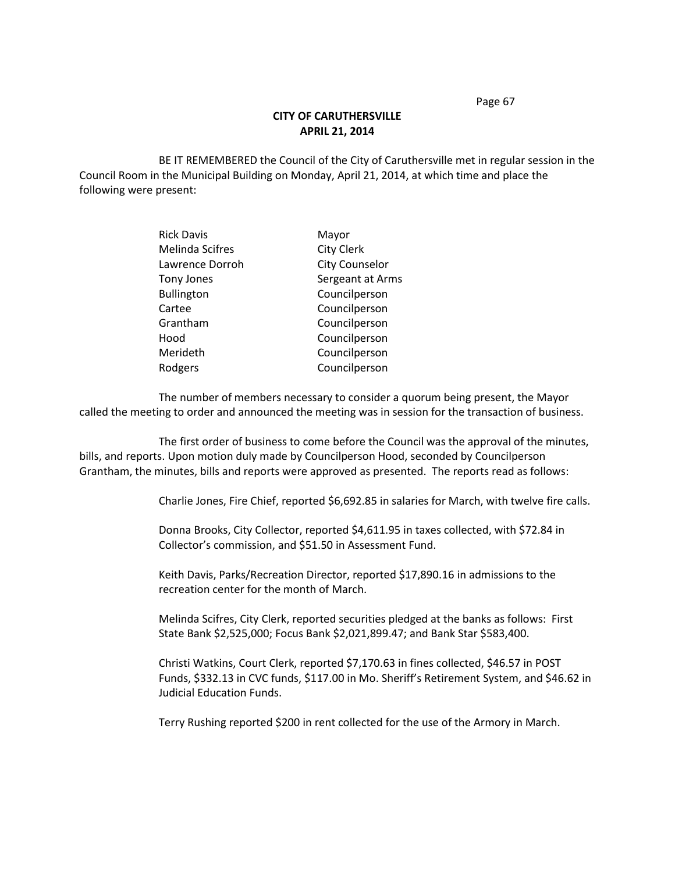## **CITY OF CARUTHERSVILLE APRIL 21, 2014**

BE IT REMEMBERED the Council of the City of Caruthersville met in regular session in the Council Room in the Municipal Building on Monday, April 21, 2014, at which time and place the following were present:

| <b>Rick Davis</b>      | Mayor                 |
|------------------------|-----------------------|
| <b>Melinda Scifres</b> | <b>City Clerk</b>     |
| Lawrence Dorroh        | <b>City Counselor</b> |
| <b>Tony Jones</b>      | Sergeant at Arms      |
| <b>Bullington</b>      | Councilperson         |
| Cartee                 | Councilperson         |
| Grantham               | Councilperson         |
| Hood                   | Councilperson         |
| Merideth               | Councilperson         |
| Rodgers                | Councilperson         |

The number of members necessary to consider a quorum being present, the Mayor called the meeting to order and announced the meeting was in session for the transaction of business.

The first order of business to come before the Council was the approval of the minutes, bills, and reports. Upon motion duly made by Councilperson Hood, seconded by Councilperson Grantham, the minutes, bills and reports were approved as presented. The reports read as follows:

Charlie Jones, Fire Chief, reported \$6,692.85 in salaries for March, with twelve fire calls.

Donna Brooks, City Collector, reported \$4,611.95 in taxes collected, with \$72.84 in Collector's commission, and \$51.50 in Assessment Fund.

Keith Davis, Parks/Recreation Director, reported \$17,890.16 in admissions to the recreation center for the month of March.

Melinda Scifres, City Clerk, reported securities pledged at the banks as follows: First State Bank \$2,525,000; Focus Bank \$2,021,899.47; and Bank Star \$583,400.

Christi Watkins, Court Clerk, reported \$7,170.63 in fines collected, \$46.57 in POST Funds, \$332.13 in CVC funds, \$117.00 in Mo. Sheriff's Retirement System, and \$46.62 in Judicial Education Funds.

Terry Rushing reported \$200 in rent collected for the use of the Armory in March.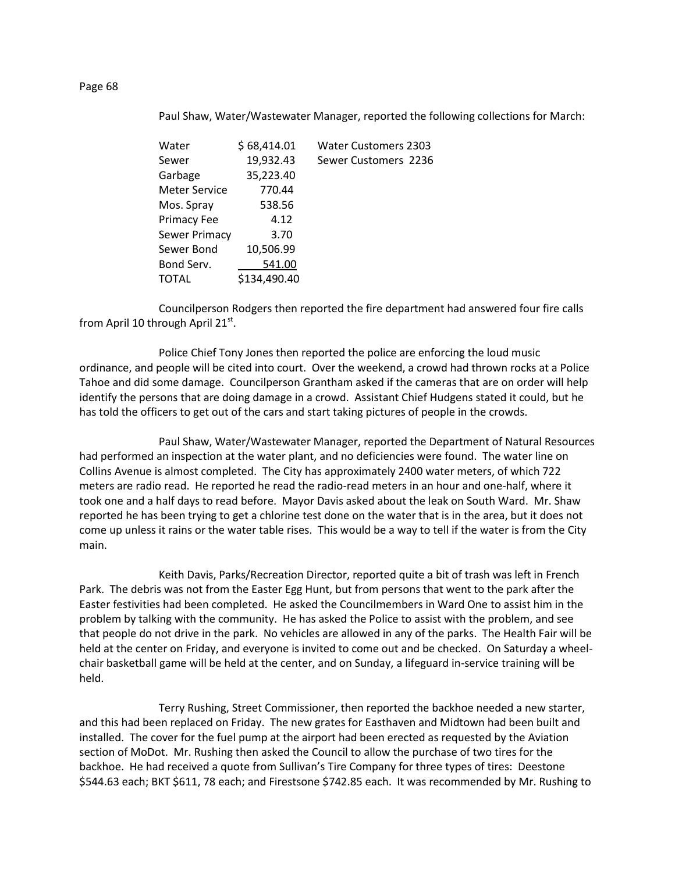## Paul Shaw, Water/Wastewater Manager, reported the following collections for March:

| Water         | \$68,414.01  | <b>Water Customers 2303</b> |
|---------------|--------------|-----------------------------|
| Sewer         | 19,932.43    | Sewer Customers 2236        |
| Garbage       | 35,223.40    |                             |
| Meter Service | 770.44       |                             |
| Mos. Spray    | 538.56       |                             |
| Primacy Fee   | 4.12         |                             |
| Sewer Primacy | 3.70         |                             |
| Sewer Bond    | 10,506.99    |                             |
| Bond Serv.    | 541.00       |                             |
| TOTAL         | \$134,490.40 |                             |
|               |              |                             |

Councilperson Rodgers then reported the fire department had answered four fire calls from April 10 through April 21 $^{\rm st}$ .

Police Chief Tony Jones then reported the police are enforcing the loud music ordinance, and people will be cited into court. Over the weekend, a crowd had thrown rocks at a Police Tahoe and did some damage. Councilperson Grantham asked if the cameras that are on order will help identify the persons that are doing damage in a crowd. Assistant Chief Hudgens stated it could, but he has told the officers to get out of the cars and start taking pictures of people in the crowds.

Paul Shaw, Water/Wastewater Manager, reported the Department of Natural Resources had performed an inspection at the water plant, and no deficiencies were found. The water line on Collins Avenue is almost completed. The City has approximately 2400 water meters, of which 722 meters are radio read. He reported he read the radio-read meters in an hour and one-half, where it took one and a half days to read before. Mayor Davis asked about the leak on South Ward. Mr. Shaw reported he has been trying to get a chlorine test done on the water that is in the area, but it does not come up unless it rains or the water table rises. This would be a way to tell if the water is from the City main.

Keith Davis, Parks/Recreation Director, reported quite a bit of trash was left in French Park. The debris was not from the Easter Egg Hunt, but from persons that went to the park after the Easter festivities had been completed. He asked the Councilmembers in Ward One to assist him in the problem by talking with the community. He has asked the Police to assist with the problem, and see that people do not drive in the park. No vehicles are allowed in any of the parks. The Health Fair will be held at the center on Friday, and everyone is invited to come out and be checked. On Saturday a wheelchair basketball game will be held at the center, and on Sunday, a lifeguard in-service training will be held.

Terry Rushing, Street Commissioner, then reported the backhoe needed a new starter, and this had been replaced on Friday. The new grates for Easthaven and Midtown had been built and installed. The cover for the fuel pump at the airport had been erected as requested by the Aviation section of MoDot. Mr. Rushing then asked the Council to allow the purchase of two tires for the backhoe. He had received a quote from Sullivan's Tire Company for three types of tires: Deestone \$544.63 each; BKT \$611, 78 each; and Firestsone \$742.85 each. It was recommended by Mr. Rushing to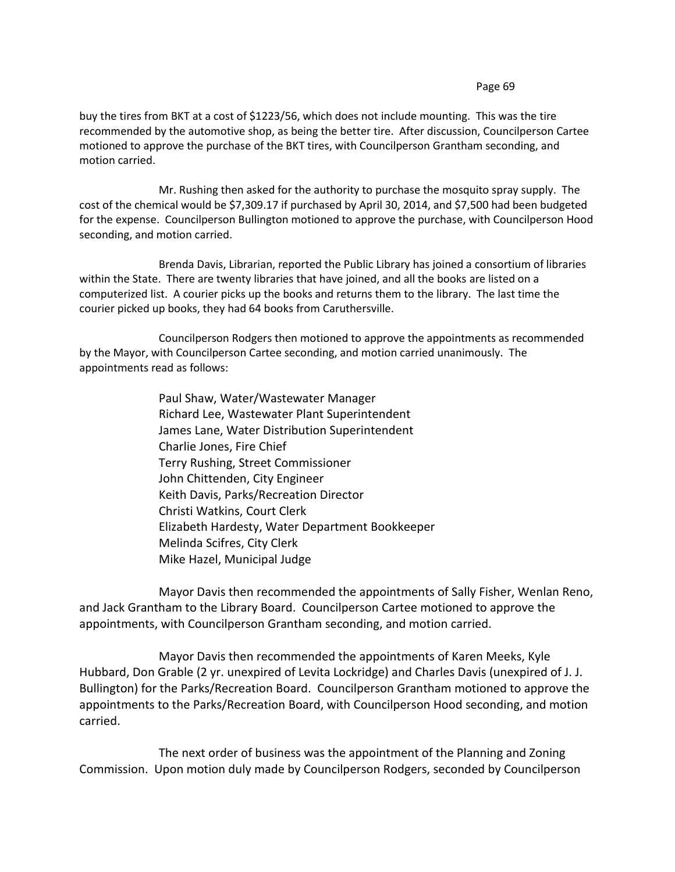buy the tires from BKT at a cost of \$1223/56, which does not include mounting. This was the tire recommended by the automotive shop, as being the better tire. After discussion, Councilperson Cartee motioned to approve the purchase of the BKT tires, with Councilperson Grantham seconding, and motion carried.

Mr. Rushing then asked for the authority to purchase the mosquito spray supply. The cost of the chemical would be \$7,309.17 if purchased by April 30, 2014, and \$7,500 had been budgeted for the expense. Councilperson Bullington motioned to approve the purchase, with Councilperson Hood seconding, and motion carried.

Brenda Davis, Librarian, reported the Public Library has joined a consortium of libraries within the State. There are twenty libraries that have joined, and all the books are listed on a computerized list. A courier picks up the books and returns them to the library. The last time the courier picked up books, they had 64 books from Caruthersville.

Councilperson Rodgers then motioned to approve the appointments as recommended by the Mayor, with Councilperson Cartee seconding, and motion carried unanimously. The appointments read as follows:

> Paul Shaw, Water/Wastewater Manager Richard Lee, Wastewater Plant Superintendent James Lane, Water Distribution Superintendent Charlie Jones, Fire Chief Terry Rushing, Street Commissioner John Chittenden, City Engineer Keith Davis, Parks/Recreation Director Christi Watkins, Court Clerk Elizabeth Hardesty, Water Department Bookkeeper Melinda Scifres, City Clerk Mike Hazel, Municipal Judge

Mayor Davis then recommended the appointments of Sally Fisher, Wenlan Reno, and Jack Grantham to the Library Board. Councilperson Cartee motioned to approve the appointments, with Councilperson Grantham seconding, and motion carried.

Mayor Davis then recommended the appointments of Karen Meeks, Kyle Hubbard, Don Grable (2 yr. unexpired of Levita Lockridge) and Charles Davis (unexpired of J. J. Bullington) for the Parks/Recreation Board. Councilperson Grantham motioned to approve the appointments to the Parks/Recreation Board, with Councilperson Hood seconding, and motion carried.

The next order of business was the appointment of the Planning and Zoning Commission. Upon motion duly made by Councilperson Rodgers, seconded by Councilperson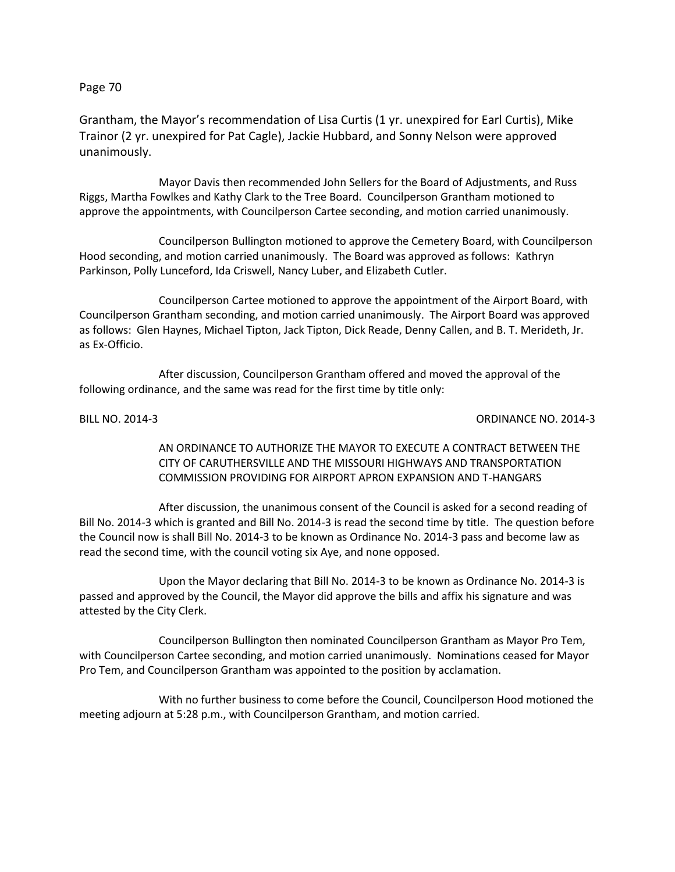Grantham, the Mayor's recommendation of Lisa Curtis (1 yr. unexpired for Earl Curtis), Mike Trainor (2 yr. unexpired for Pat Cagle), Jackie Hubbard, and Sonny Nelson were approved unanimously.

Mayor Davis then recommended John Sellers for the Board of Adjustments, and Russ Riggs, Martha Fowlkes and Kathy Clark to the Tree Board. Councilperson Grantham motioned to approve the appointments, with Councilperson Cartee seconding, and motion carried unanimously.

Councilperson Bullington motioned to approve the Cemetery Board, with Councilperson Hood seconding, and motion carried unanimously. The Board was approved as follows: Kathryn Parkinson, Polly Lunceford, Ida Criswell, Nancy Luber, and Elizabeth Cutler.

Councilperson Cartee motioned to approve the appointment of the Airport Board, with Councilperson Grantham seconding, and motion carried unanimously. The Airport Board was approved as follows: Glen Haynes, Michael Tipton, Jack Tipton, Dick Reade, Denny Callen, and B. T. Merideth, Jr. as Ex-Officio.

After discussion, Councilperson Grantham offered and moved the approval of the following ordinance, and the same was read for the first time by title only:

BILL NO. 2014-3 ORDINANCE NO. 2014-3

AN ORDINANCE TO AUTHORIZE THE MAYOR TO EXECUTE A CONTRACT BETWEEN THE CITY OF CARUTHERSVILLE AND THE MISSOURI HIGHWAYS AND TRANSPORTATION COMMISSION PROVIDING FOR AIRPORT APRON EXPANSION AND T-HANGARS

After discussion, the unanimous consent of the Council is asked for a second reading of Bill No. 2014-3 which is granted and Bill No. 2014-3 is read the second time by title. The question before the Council now is shall Bill No. 2014-3 to be known as Ordinance No. 2014-3 pass and become law as read the second time, with the council voting six Aye, and none opposed.

Upon the Mayor declaring that Bill No. 2014-3 to be known as Ordinance No. 2014-3 is passed and approved by the Council, the Mayor did approve the bills and affix his signature and was attested by the City Clerk.

Councilperson Bullington then nominated Councilperson Grantham as Mayor Pro Tem, with Councilperson Cartee seconding, and motion carried unanimously. Nominations ceased for Mayor Pro Tem, and Councilperson Grantham was appointed to the position by acclamation.

With no further business to come before the Council, Councilperson Hood motioned the meeting adjourn at 5:28 p.m., with Councilperson Grantham, and motion carried.